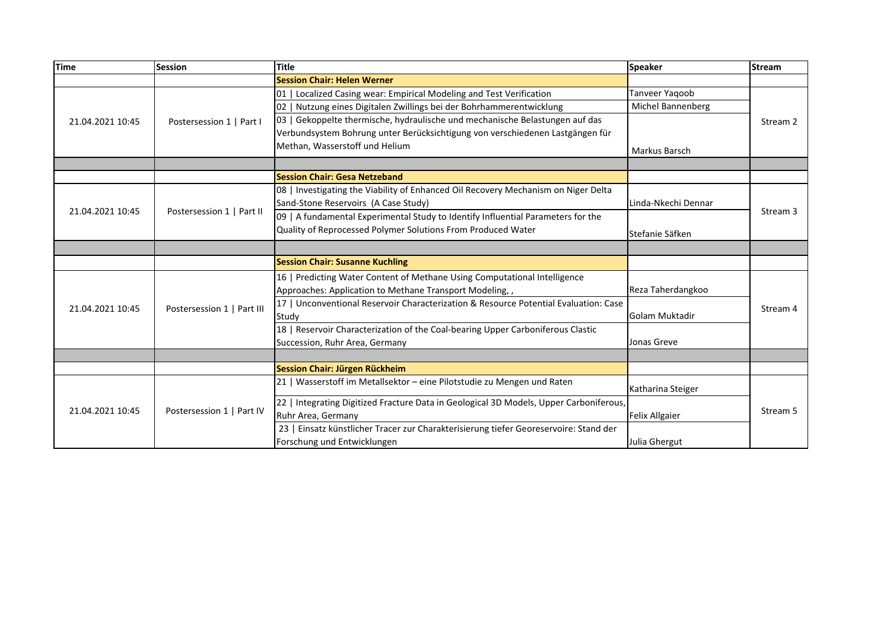| <b>Time</b>      | <b>Session</b>             | Title                                                                                  | <b>Speaker</b>        | <b>Stream</b> |
|------------------|----------------------------|----------------------------------------------------------------------------------------|-----------------------|---------------|
|                  |                            | <b>Session Chair: Helen Werner</b>                                                     |                       |               |
| 21.04.2021 10:45 | Postersession 1   Part I   | 01   Localized Casing wear: Empirical Modeling and Test Verification                   | Tanveer Yaqoob        | Stream 2      |
|                  |                            | 02   Nutzung eines Digitalen Zwillings bei der Bohrhammerentwicklung                   | Michel Bannenberg     |               |
|                  |                            | 03   Gekoppelte thermische, hydraulische und mechanische Belastungen auf das           |                       |               |
|                  |                            | Verbundsystem Bohrung unter Berücksichtigung von verschiedenen Lastgängen für          |                       |               |
|                  |                            | Methan, Wasserstoff und Helium                                                         | Markus Barsch         |               |
|                  |                            |                                                                                        |                       |               |
|                  |                            | <b>Session Chair: Gesa Netzeband</b>                                                   |                       |               |
| 21.04.2021 10:45 | Postersession 1   Part II  | 08   Investigating the Viability of Enhanced Oil Recovery Mechanism on Niger Delta     |                       | Stream 3      |
|                  |                            | Sand-Stone Reservoirs (A Case Study)                                                   | Linda-Nkechi Dennar   |               |
|                  |                            | 09   A fundamental Experimental Study to Identify Influential Parameters for the       |                       |               |
|                  |                            | Quality of Reprocessed Polymer Solutions From Produced Water                           | Stefanie Säfken       |               |
|                  |                            |                                                                                        |                       |               |
|                  |                            | <b>Session Chair: Susanne Kuchling</b>                                                 |                       |               |
| 21.04.2021 10:45 | Postersession 1   Part III | 16   Predicting Water Content of Methane Using Computational Intelligence              |                       | Stream 4      |
|                  |                            | Approaches: Application to Methane Transport Modeling,,                                | Reza Taherdangkoo     |               |
|                  |                            | 17   Unconventional Reservoir Characterization & Resource Potential Evaluation: Case   |                       |               |
|                  |                            | Study                                                                                  | Golam Muktadir        |               |
|                  |                            | 18   Reservoir Characterization of the Coal-bearing Upper Carboniferous Clastic        |                       |               |
|                  |                            | Succession, Ruhr Area, Germany                                                         | Jonas Greve           |               |
|                  |                            |                                                                                        |                       |               |
|                  |                            | Session Chair: Jürgen Rückheim                                                         |                       |               |
| 21.04.2021 10:45 | Postersession 1   Part IV  | 21   Wasserstoff im Metallsektor - eine Pilotstudie zu Mengen und Raten                | Katharina Steiger     | Stream 5      |
|                  |                            | 22   Integrating Digitized Fracture Data in Geological 3D Models, Upper Carboniferous, |                       |               |
|                  |                            | Ruhr Area, Germany                                                                     | <b>Felix Allgaier</b> |               |
|                  |                            | 23   Einsatz künstlicher Tracer zur Charakterisierung tiefer Georeservoire: Stand der  |                       |               |
|                  |                            | Forschung und Entwicklungen                                                            | Julia Ghergut         |               |